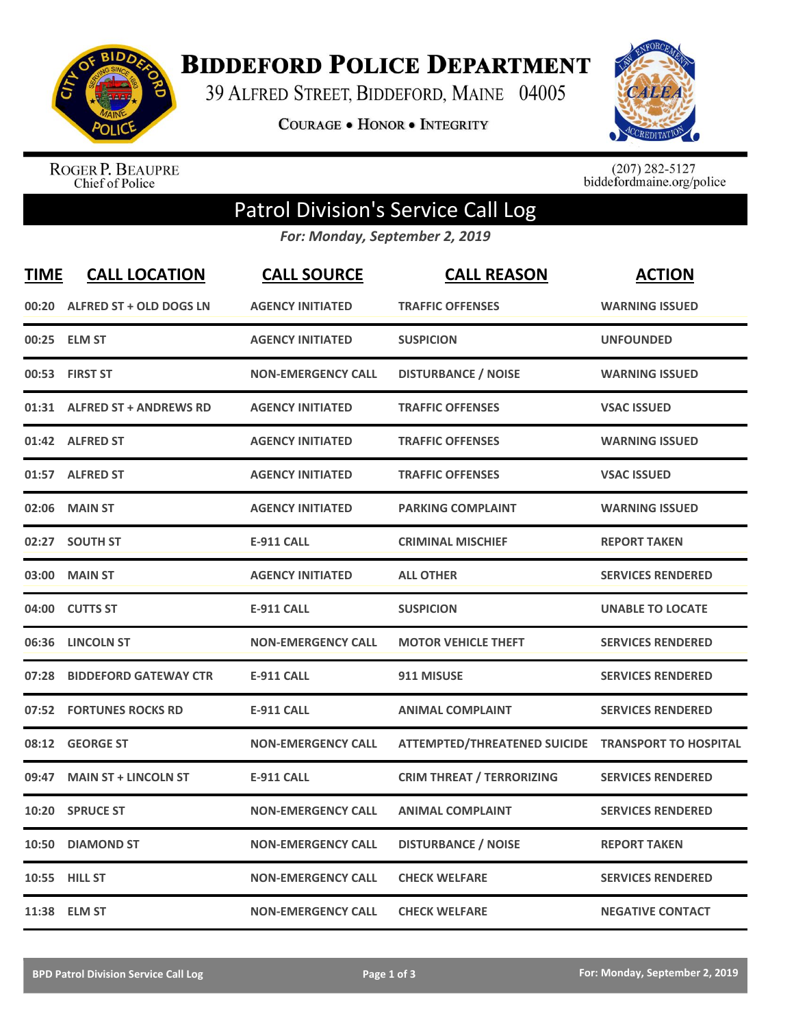

**BIDDEFORD POLICE DEPARTMENT** 

39 ALFRED STREET, BIDDEFORD, MAINE 04005

**COURAGE . HONOR . INTEGRITY** 



ROGER P. BEAUPRE<br>Chief of Police

 $(207)$  282-5127<br>biddefordmaine.org/police

## Patrol Division's Service Call Log

*For: Monday, September 2, 2019*

| <b>TIME</b> | <b>CALL LOCATION</b>          | <b>CALL SOURCE</b>        | <b>CALL REASON</b>                                 | <b>ACTION</b>            |
|-------------|-------------------------------|---------------------------|----------------------------------------------------|--------------------------|
| 00:20       | ALFRED ST + OLD DOGS LN       | <b>AGENCY INITIATED</b>   | <b>TRAFFIC OFFENSES</b>                            | <b>WARNING ISSUED</b>    |
|             | 00:25 ELM ST                  | <b>AGENCY INITIATED</b>   | <b>SUSPICION</b>                                   | <b>UNFOUNDED</b>         |
| 00:53       | <b>FIRST ST</b>               | <b>NON-EMERGENCY CALL</b> | <b>DISTURBANCE / NOISE</b>                         | <b>WARNING ISSUED</b>    |
| 01:31       | <b>ALFRED ST + ANDREWS RD</b> | <b>AGENCY INITIATED</b>   | <b>TRAFFIC OFFENSES</b>                            | <b>VSAC ISSUED</b>       |
|             | 01:42 ALFRED ST               | <b>AGENCY INITIATED</b>   | <b>TRAFFIC OFFENSES</b>                            | <b>WARNING ISSUED</b>    |
|             | 01:57 ALFRED ST               | <b>AGENCY INITIATED</b>   | <b>TRAFFIC OFFENSES</b>                            | <b>VSAC ISSUED</b>       |
| 02:06       | <b>MAIN ST</b>                | <b>AGENCY INITIATED</b>   | <b>PARKING COMPLAINT</b>                           | <b>WARNING ISSUED</b>    |
| 02:27       | <b>SOUTH ST</b>               | <b>E-911 CALL</b>         | <b>CRIMINAL MISCHIEF</b>                           | <b>REPORT TAKEN</b>      |
| 03:00       | <b>MAIN ST</b>                | <b>AGENCY INITIATED</b>   | <b>ALL OTHER</b>                                   | <b>SERVICES RENDERED</b> |
|             | 04:00 CUTTS ST                | <b>E-911 CALL</b>         | <b>SUSPICION</b>                                   | <b>UNABLE TO LOCATE</b>  |
|             | 06:36 LINCOLN ST              | <b>NON-EMERGENCY CALL</b> | <b>MOTOR VEHICLE THEFT</b>                         | <b>SERVICES RENDERED</b> |
| 07:28       | <b>BIDDEFORD GATEWAY CTR</b>  | <b>E-911 CALL</b>         | 911 MISUSE                                         | <b>SERVICES RENDERED</b> |
| 07:52       | <b>FORTUNES ROCKS RD</b>      | <b>E-911 CALL</b>         | <b>ANIMAL COMPLAINT</b>                            | <b>SERVICES RENDERED</b> |
| 08:12       | <b>GEORGE ST</b>              | <b>NON-EMERGENCY CALL</b> | ATTEMPTED/THREATENED SUICIDE TRANSPORT TO HOSPITAL |                          |
| 09:47       | <b>MAIN ST + LINCOLN ST</b>   | <b>E-911 CALL</b>         | <b>CRIM THREAT / TERRORIZING</b>                   | <b>SERVICES RENDERED</b> |
| 10:20       | <b>SPRUCE ST</b>              | <b>NON-EMERGENCY CALL</b> | <b>ANIMAL COMPLAINT</b>                            | <b>SERVICES RENDERED</b> |
| 10:50       | <b>DIAMOND ST</b>             | <b>NON-EMERGENCY CALL</b> | <b>DISTURBANCE / NOISE</b>                         | <b>REPORT TAKEN</b>      |
|             | 10:55 HILL ST                 | <b>NON-EMERGENCY CALL</b> | <b>CHECK WELFARE</b>                               | <b>SERVICES RENDERED</b> |
|             | 11:38 ELM ST                  | <b>NON-EMERGENCY CALL</b> | <b>CHECK WELFARE</b>                               | <b>NEGATIVE CONTACT</b>  |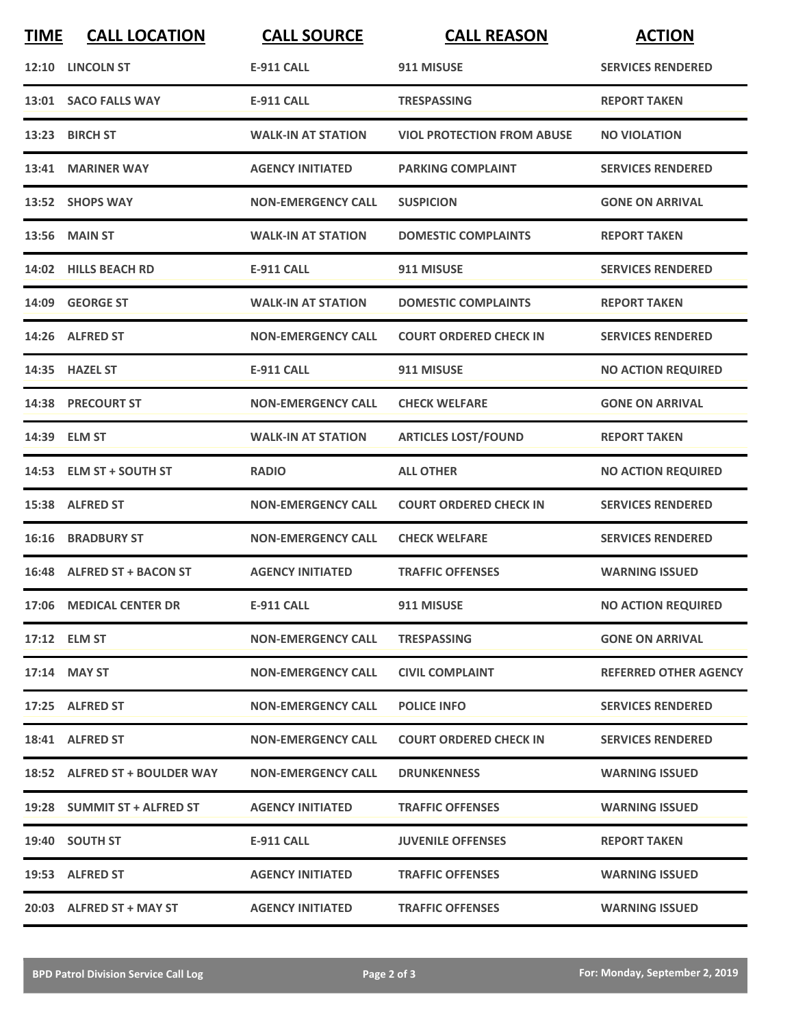| <b>TIME</b> | <b>CALL LOCATION</b>          | <b>CALL SOURCE</b>        | <b>CALL REASON</b>                | <b>ACTION</b>                |
|-------------|-------------------------------|---------------------------|-----------------------------------|------------------------------|
|             | 12:10 LINCOLN ST              | <b>E-911 CALL</b>         | 911 MISUSE                        | <b>SERVICES RENDERED</b>     |
|             | 13:01 SACO FALLS WAY          | <b>E-911 CALL</b>         | <b>TRESPASSING</b>                | <b>REPORT TAKEN</b>          |
|             | 13:23 BIRCH ST                | <b>WALK-IN AT STATION</b> | <b>VIOL PROTECTION FROM ABUSE</b> | <b>NO VIOLATION</b>          |
|             | 13:41 MARINER WAY             | <b>AGENCY INITIATED</b>   | <b>PARKING COMPLAINT</b>          | <b>SERVICES RENDERED</b>     |
|             | 13:52 SHOPS WAY               | <b>NON-EMERGENCY CALL</b> | <b>SUSPICION</b>                  | <b>GONE ON ARRIVAL</b>       |
|             | 13:56 MAIN ST                 | <b>WALK-IN AT STATION</b> | <b>DOMESTIC COMPLAINTS</b>        | <b>REPORT TAKEN</b>          |
|             | 14:02 HILLS BEACH RD          | <b>E-911 CALL</b>         | 911 MISUSE                        | <b>SERVICES RENDERED</b>     |
|             | 14:09 GEORGE ST               | <b>WALK-IN AT STATION</b> | <b>DOMESTIC COMPLAINTS</b>        | <b>REPORT TAKEN</b>          |
|             | 14:26 ALFRED ST               | <b>NON-EMERGENCY CALL</b> | <b>COURT ORDERED CHECK IN</b>     | <b>SERVICES RENDERED</b>     |
|             | 14:35 HAZEL ST                | E-911 CALL                | 911 MISUSE                        | <b>NO ACTION REQUIRED</b>    |
|             | 14:38 PRECOURT ST             | <b>NON-EMERGENCY CALL</b> | <b>CHECK WELFARE</b>              | <b>GONE ON ARRIVAL</b>       |
|             | 14:39 ELM ST                  | <b>WALK-IN AT STATION</b> | <b>ARTICLES LOST/FOUND</b>        | <b>REPORT TAKEN</b>          |
|             | 14:53 ELM ST + SOUTH ST       | <b>RADIO</b>              | <b>ALL OTHER</b>                  | <b>NO ACTION REQUIRED</b>    |
|             | 15:38 ALFRED ST               | <b>NON-EMERGENCY CALL</b> | <b>COURT ORDERED CHECK IN</b>     | <b>SERVICES RENDERED</b>     |
|             | <b>16:16 BRADBURY ST</b>      | <b>NON-EMERGENCY CALL</b> | <b>CHECK WELFARE</b>              | <b>SERVICES RENDERED</b>     |
|             | 16:48 ALFRED ST + BACON ST    | <b>AGENCY INITIATED</b>   | <b>TRAFFIC OFFENSES</b>           | <b>WARNING ISSUED</b>        |
|             | 17:06 MEDICAL CENTER DR       | <b>E-911 CALL</b>         | 911 MISUSE                        | <b>NO ACTION REQUIRED</b>    |
|             | 17:12 ELM ST                  | <b>NON-EMERGENCY CALL</b> | <b>TRESPASSING</b>                | <b>GONE ON ARRIVAL</b>       |
|             | 17:14 MAY ST                  | <b>NON-EMERGENCY CALL</b> | <b>CIVIL COMPLAINT</b>            | <b>REFERRED OTHER AGENCY</b> |
|             | 17:25 ALFRED ST               | <b>NON-EMERGENCY CALL</b> | <b>POLICE INFO</b>                | <b>SERVICES RENDERED</b>     |
|             | 18:41 ALFRED ST               | <b>NON-EMERGENCY CALL</b> | <b>COURT ORDERED CHECK IN</b>     | <b>SERVICES RENDERED</b>     |
|             | 18:52 ALFRED ST + BOULDER WAY | <b>NON-EMERGENCY CALL</b> | <b>DRUNKENNESS</b>                | <b>WARNING ISSUED</b>        |
|             | 19:28 SUMMIT ST + ALFRED ST   | <b>AGENCY INITIATED</b>   | <b>TRAFFIC OFFENSES</b>           | <b>WARNING ISSUED</b>        |
|             | 19:40 SOUTH ST                | E-911 CALL                | <b>JUVENILE OFFENSES</b>          | <b>REPORT TAKEN</b>          |
|             | 19:53 ALFRED ST               | <b>AGENCY INITIATED</b>   | <b>TRAFFIC OFFENSES</b>           | <b>WARNING ISSUED</b>        |
|             | 20:03 ALFRED ST + MAY ST      | <b>AGENCY INITIATED</b>   | <b>TRAFFIC OFFENSES</b>           | <b>WARNING ISSUED</b>        |